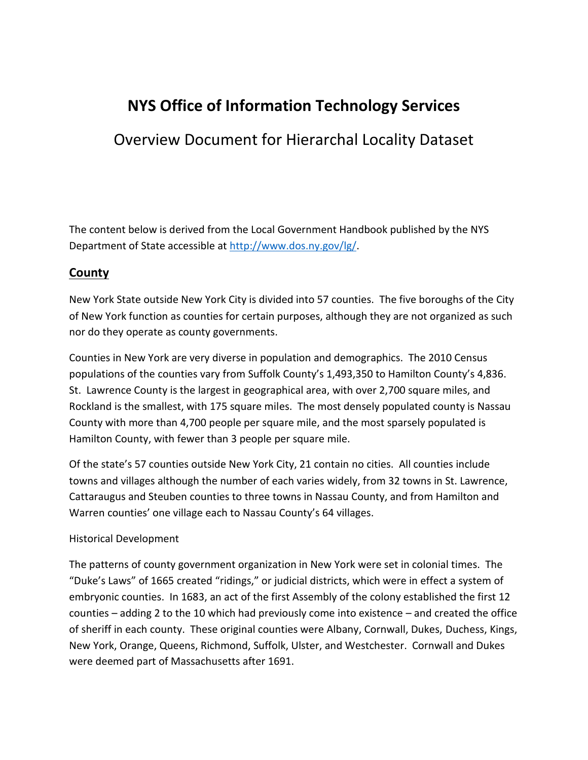# **NYS Office of Information Technology Services**

# Overview Document for Hierarchal Locality Dataset

The content below is derived from the Local Government Handbook published by the NYS Department of State accessible at [http://www.dos.ny.gov/lg/.](http://www.dos.ny.gov/lg/)

### **County**

New York State outside New York City is divided into 57 counties. The five boroughs of the City of New York function as counties for certain purposes, although they are not organized as such nor do they operate as county governments.

Counties in New York are very diverse in population and demographics. The 2010 Census populations of the counties vary from Suffolk County's 1,493,350 to Hamilton County's 4,836. St. Lawrence County is the largest in geographical area, with over 2,700 square miles, and Rockland is the smallest, with 175 square miles. The most densely populated county is Nassau County with more than 4,700 people per square mile, and the most sparsely populated is Hamilton County, with fewer than 3 people per square mile.

Of the state's 57 counties outside New York City, 21 contain no cities. All counties include towns and villages although the number of each varies widely, from 32 towns in St. Lawrence, Cattaraugus and Steuben counties to three towns in Nassau County, and from Hamilton and Warren counties' one village each to Nassau County's 64 villages.

#### Historical Development

The patterns of county government organization in New York were set in colonial times. The "Duke's Laws" of 1665 created "ridings," or judicial districts, which were in effect a system of embryonic counties. In 1683, an act of the first Assembly of the colony established the first 12 counties – adding 2 to the 10 which had previously come into existence – and created the office of sheriff in each county. These original counties were Albany, Cornwall, Dukes, Duchess, Kings, New York, Orange, Queens, Richmond, Suffolk, Ulster, and Westchester. Cornwall and Dukes were deemed part of Massachusetts after 1691.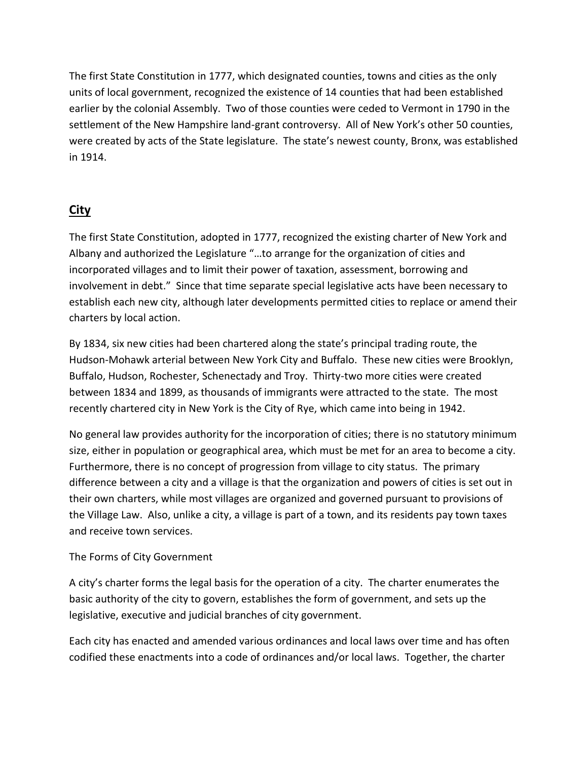The first State Constitution in 1777, which designated counties, towns and cities as the only units of local government, recognized the existence of 14 counties that had been established earlier by the colonial Assembly. Two of those counties were ceded to Vermont in 1790 in the settlement of the New Hampshire land-grant controversy. All of New York's other 50 counties, were created by acts of the State legislature. The state's newest county, Bronx, was established in 1914.

# **City**

The first State Constitution, adopted in 1777, recognized the existing charter of New York and Albany and authorized the Legislature "…to arrange for the organization of cities and incorporated villages and to limit their power of taxation, assessment, borrowing and involvement in debt." Since that time separate special legislative acts have been necessary to establish each new city, although later developments permitted cities to replace or amend their charters by local action.

By 1834, six new cities had been chartered along the state's principal trading route, the Hudson-Mohawk arterial between New York City and Buffalo. These new cities were Brooklyn, Buffalo, Hudson, Rochester, Schenectady and Troy. Thirty-two more cities were created between 1834 and 1899, as thousands of immigrants were attracted to the state. The most recently chartered city in New York is the City of Rye, which came into being in 1942.

No general law provides authority for the incorporation of cities; there is no statutory minimum size, either in population or geographical area, which must be met for an area to become a city. Furthermore, there is no concept of progression from village to city status. The primary difference between a city and a village is that the organization and powers of cities is set out in their own charters, while most villages are organized and governed pursuant to provisions of the Village Law. Also, unlike a city, a village is part of a town, and its residents pay town taxes and receive town services.

### The Forms of City Government

A city's charter forms the legal basis for the operation of a city. The charter enumerates the basic authority of the city to govern, establishes the form of government, and sets up the legislative, executive and judicial branches of city government.

Each city has enacted and amended various ordinances and local laws over time and has often codified these enactments into a code of ordinances and/or local laws. Together, the charter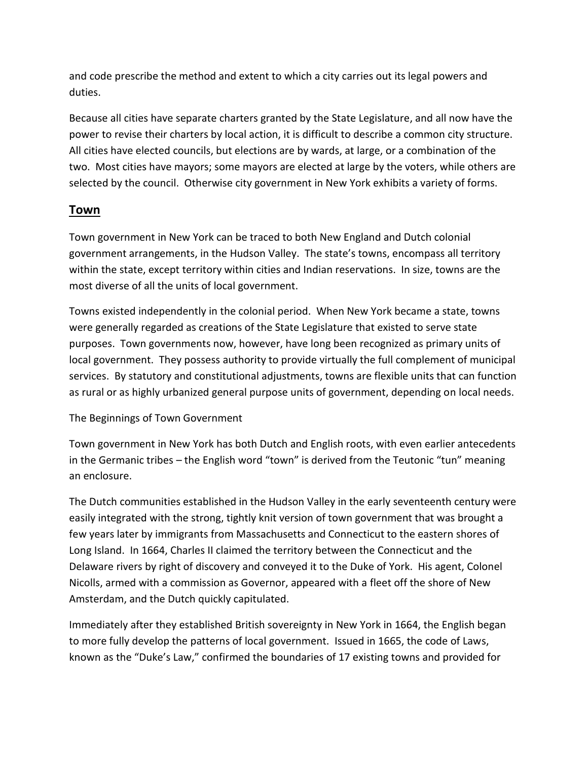and code prescribe the method and extent to which a city carries out its legal powers and duties.

Because all cities have separate charters granted by the State Legislature, and all now have the power to revise their charters by local action, it is difficult to describe a common city structure. All cities have elected councils, but elections are by wards, at large, or a combination of the two. Most cities have mayors; some mayors are elected at large by the voters, while others are selected by the council. Otherwise city government in New York exhibits a variety of forms.

### **Town**

Town government in New York can be traced to both New England and Dutch colonial government arrangements, in the Hudson Valley. The state's towns, encompass all territory within the state, except territory within cities and Indian reservations. In size, towns are the most diverse of all the units of local government.

Towns existed independently in the colonial period. When New York became a state, towns were generally regarded as creations of the State Legislature that existed to serve state purposes. Town governments now, however, have long been recognized as primary units of local government. They possess authority to provide virtually the full complement of municipal services. By statutory and constitutional adjustments, towns are flexible units that can function as rural or as highly urbanized general purpose units of government, depending on local needs.

#### The Beginnings of Town Government

Town government in New York has both Dutch and English roots, with even earlier antecedents in the Germanic tribes – the English word "town" is derived from the Teutonic "tun" meaning an enclosure.

The Dutch communities established in the Hudson Valley in the early seventeenth century were easily integrated with the strong, tightly knit version of town government that was brought a few years later by immigrants from Massachusetts and Connecticut to the eastern shores of Long Island. In 1664, Charles II claimed the territory between the Connecticut and the Delaware rivers by right of discovery and conveyed it to the Duke of York. His agent, Colonel Nicolls, armed with a commission as Governor, appeared with a fleet off the shore of New Amsterdam, and the Dutch quickly capitulated.

Immediately after they established British sovereignty in New York in 1664, the English began to more fully develop the patterns of local government. Issued in 1665, the code of Laws, known as the "Duke's Law," confirmed the boundaries of 17 existing towns and provided for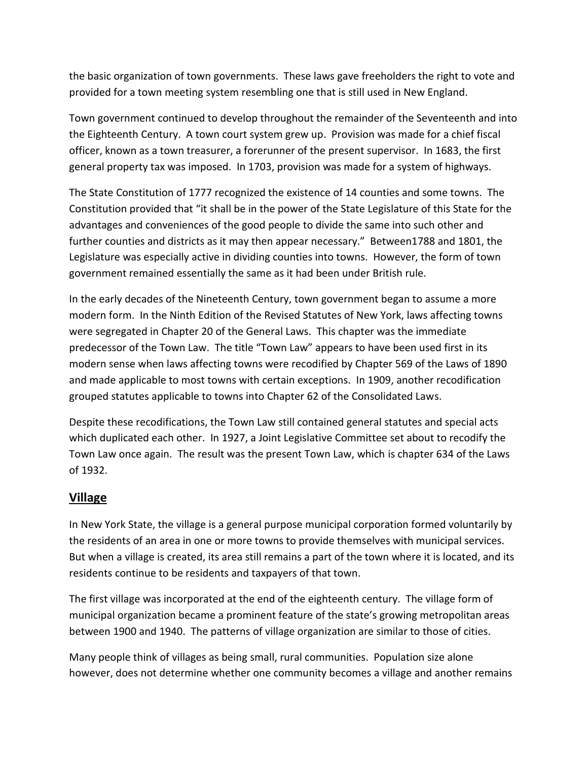the basic organization of town governments. These laws gave freeholders the right to vote and provided for a town meeting system resembling one that is still used in New England.

Town government continued to develop throughout the remainder of the Seventeenth and into the Eighteenth Century. A town court system grew up. Provision was made for a chief fiscal officer, known as a town treasurer, a forerunner of the present supervisor. In 1683, the first general property tax was imposed. In 1703, provision was made for a system of highways.

The State Constitution of 1777 recognized the existence of 14 counties and some towns. The Constitution provided that "it shall be in the power of the State Legislature of this State for the advantages and conveniences of the good people to divide the same into such other and further counties and districts as it may then appear necessary." Between1788 and 1801, the Legislature was especially active in dividing counties into towns. However, the form of town government remained essentially the same as it had been under British rule.

In the early decades of the Nineteenth Century, town government began to assume a more modern form. In the Ninth Edition of the Revised Statutes of New York, laws affecting towns were segregated in Chapter 20 of the General Laws. This chapter was the immediate predecessor of the Town Law. The title "Town Law" appears to have been used first in its modern sense when laws affecting towns were recodified by Chapter 569 of the Laws of 1890 and made applicable to most towns with certain exceptions. In 1909, another recodification grouped statutes applicable to towns into Chapter 62 of the Consolidated Laws.

Despite these recodifications, the Town Law still contained general statutes and special acts which duplicated each other. In 1927, a Joint Legislative Committee set about to recodify the Town Law once again. The result was the present Town Law, which is chapter 634 of the Laws of 1932.

## **Village**

In New York State, the village is a general purpose municipal corporation formed voluntarily by the residents of an area in one or more towns to provide themselves with municipal services. But when a village is created, its area still remains a part of the town where it is located, and its residents continue to be residents and taxpayers of that town.

The first village was incorporated at the end of the eighteenth century. The village form of municipal organization became a prominent feature of the state's growing metropolitan areas between 1900 and 1940. The patterns of village organization are similar to those of cities.

Many people think of villages as being small, rural communities. Population size alone however, does not determine whether one community becomes a village and another remains